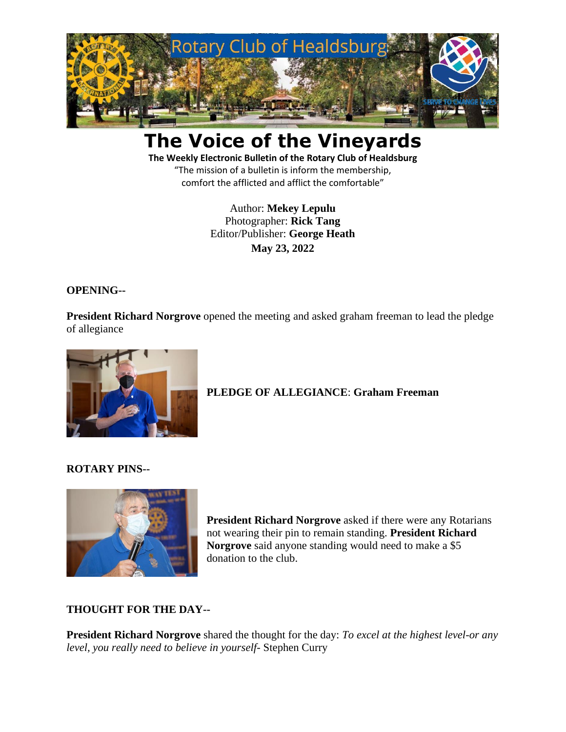

# **The Voice of the Vineyards**

**The Weekly Electronic Bulletin of the Rotary Club of Healdsburg** "The mission of a bulletin is inform the membership, comfort the afflicted and afflict the comfortable"

> Author: **Mekey Lepulu** Photographer: **Rick Tang** Editor/Publisher: **George Heath May 23, 2022**

#### **OPENING--**

**President Richard Norgrove** opened the meeting and asked graham freeman to lead the pledge of allegiance



# **PLEDGE OF ALLEGIANCE**: **Graham Freeman**

#### **ROTARY PINS--**



**President Richard Norgrove** asked if there were any Rotarians not wearing their pin to remain standing. **President Richard Norgrove** said anyone standing would need to make a \$5 donation to the club.

#### **THOUGHT FOR THE DAY--**

**President Richard Norgrove** shared the thought for the day: *To excel at the highest level-or any level, you really need to believe in yourself-* Stephen Curry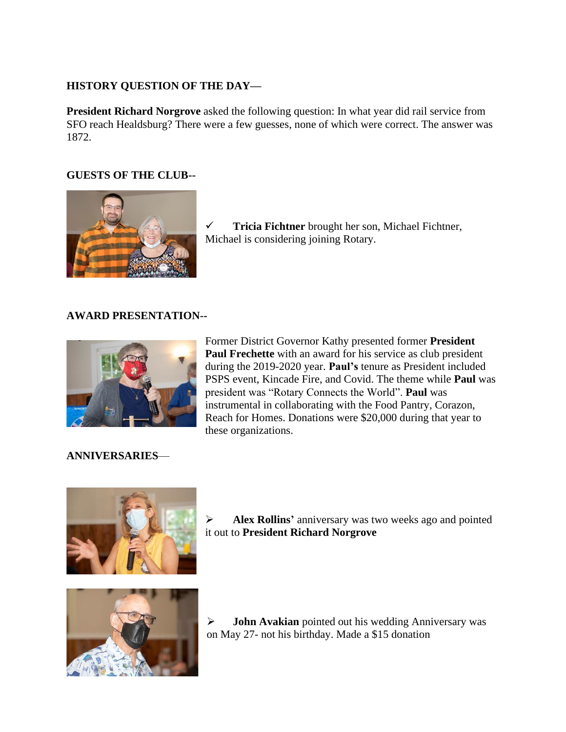## **HISTORY QUESTION OF THE DAY—**

**President Richard Norgrove** asked the following question: In what year did rail service from SFO reach Healdsburg? There were a few guesses, none of which were correct. The answer was 1872.

# **GUESTS OF THE CLUB--**



✓ **Tricia Fichtner** brought her son, Michael Fichtner, Michael is considering joining Rotary.

## **AWARD PRESENTATION--**



Former District Governor Kathy presented former **President Paul Frechette** with an award for his service as club president during the 2019-2020 year. **Paul's** tenure as President included PSPS event, Kincade Fire, and Covid. The theme while **Paul** was president was "Rotary Connects the World". **Paul** was instrumental in collaborating with the Food Pantry, Corazon, Reach for Homes. Donations were \$20,000 during that year to these organizations.

## **ANNIVERSARIES**—



➢ **Alex Rollins'** anniversary was two weeks ago and pointed it out to **President Richard Norgrove** 



➢ **John Avakian** pointed out his wedding Anniversary was on May 27- not his birthday. Made a \$15 donation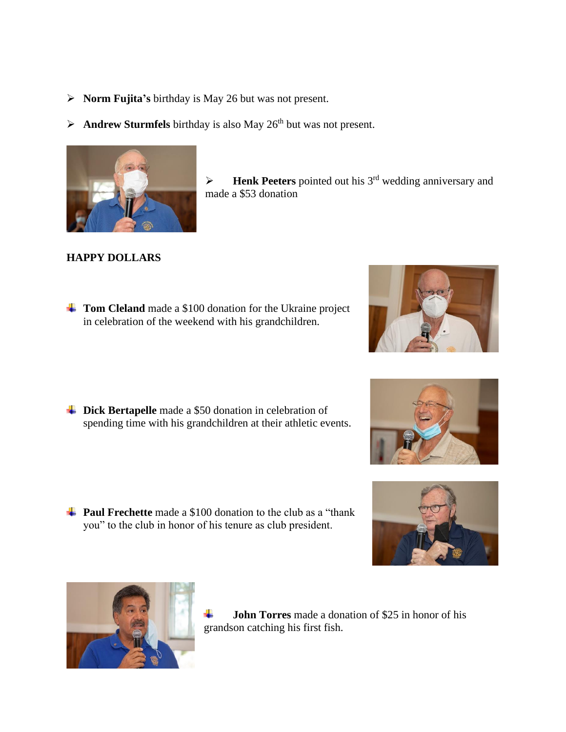- ➢ **Norm Fujita's** birthday is May 26 but was not present.
- $\triangleright$  **Andrew Sturmfels** birthday is also May 26<sup>th</sup> but was not present.



➢ **Henk Peeters** pointed out his 3 rd wedding anniversary and made a \$53 donation

## **HAPPY DOLLARS**

**Tom Cleland** made a \$100 donation for the Ukraine project in celebration of the weekend with his grandchildren.

 $\blacktriangle$  **Dick Bertapelle** made a \$50 donation in celebration of spending time with his grandchildren at their athletic events.

**Paul Frechette** made a \$100 donation to the club as a "thank" you" to the club in honor of his tenure as club president.



4. **John Torres** made a donation of \$25 in honor of his grandson catching his first fish.





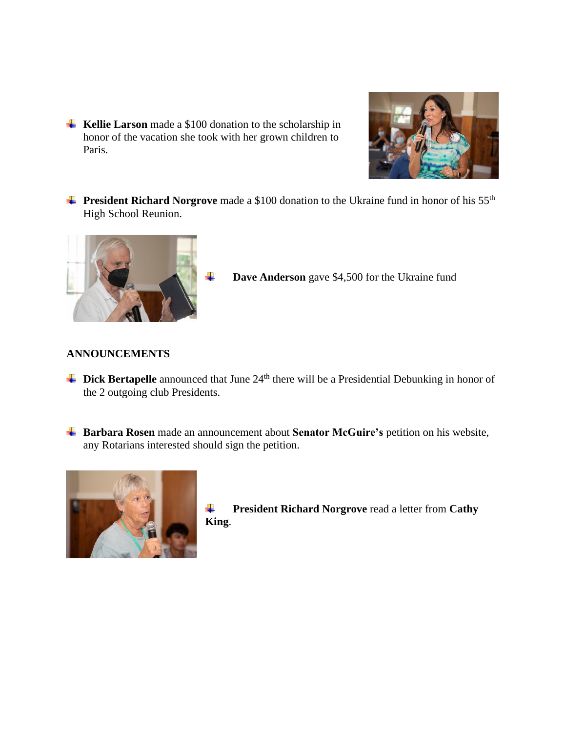**Kellie Larson** made a \$100 donation to the scholarship in honor of the vacation she took with her grown children to Paris.



**President Richard Norgrove** made a \$100 donation to the Ukraine fund in honor of his 55<sup>th</sup> High School Reunion.



```
Dave Anderson gave $4,500 for the Ukraine fund
```
#### **ANNOUNCEMENTS**

- **Dick Bertapelle** announced that June 24<sup>th</sup> there will be a Presidential Debunking in honor of the 2 outgoing club Presidents.
- **Barbara Rosen** made an announcement about **Senator McGuire's** petition on his website, any Rotarians interested should sign the petition.



```
President Richard Norgrove read a letter from Cathy 
۰.
King.
```